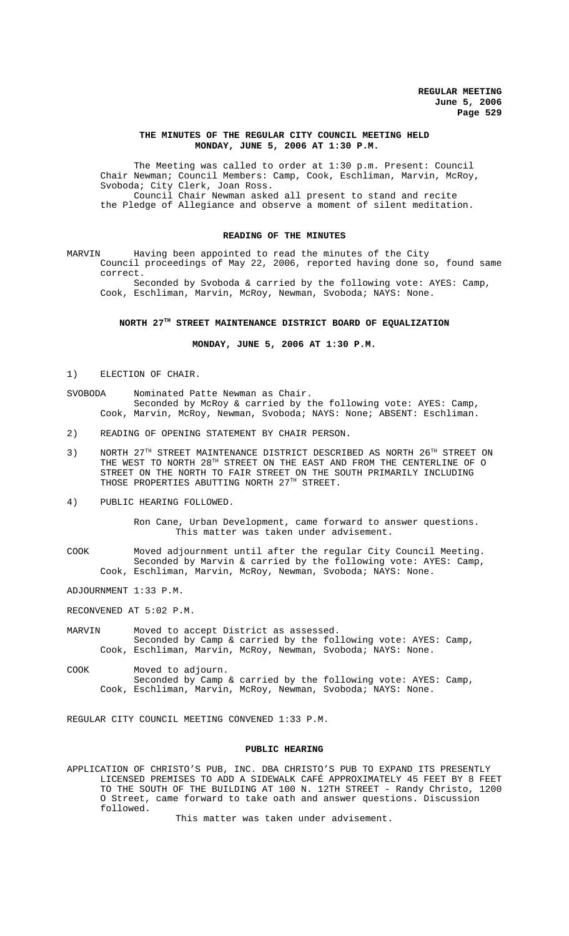## **THE MINUTES OF THE REGULAR CITY COUNCIL MEETING HELD MONDAY, JUNE 5, 2006 AT 1:30 P.M.**

The Meeting was called to order at 1:30 p.m. Present: Council Chair Newman; Council Members: Camp, Cook, Eschliman, Marvin, McRoy, Svoboda; City Clerk, Joan Ross. Council Chair Newman asked all present to stand and recite the Pledge of Allegiance and observe a moment of silent meditation.

### **READING OF THE MINUTES**

MARVIN Having been appointed to read the minutes of the City Council proceedings of May 22, 2006, reported having done so, found same correct.

Seconded by Svoboda & carried by the following vote: AYES: Camp, Cook, Eschliman, Marvin, McRoy, Newman, Svoboda; NAYS: None.

# **NORTH 27TH STREET MAINTENANCE DISTRICT BOARD OF EQUALIZATION**

**MONDAY, JUNE 5, 2006 AT 1:30 P.M.**

1) ELECTION OF CHAIR.

- SVOBODA Nominated Patte Newman as Chair. Seconded by McRoy & carried by the following vote: AYES: Camp, Cook, Marvin, McRoy, Newman, Svoboda; NAYS: None; ABSENT: Eschliman.
- 2) READING OF OPENING STATEMENT BY CHAIR PERSON.
- 3) NORTH 27<sup>TH</sup> STREET MAINTENANCE DISTRICT DESCRIBED AS NORTH 26<sup>TH</sup> STREET ON THE WEST TO NORTH  $28^{\text{\tiny{TH}}}$  STREET ON THE EAST AND FROM THE CENTERLINE OF O STREET ON THE NORTH TO FAIR STREET ON THE SOUTH PRIMARILY INCLUDING THOSE PROPERTIES ABUTTING NORTH 27TH STREET.
- 4) PUBLIC HEARING FOLLOWED.

Ron Cane, Urban Development, came forward to answer questions. This matter was taken under advisement.

COOK Moved adjournment until after the regular City Council Meeting. Seconded by Marvin & carried by the following vote: AYES: Camp, Cook, Eschliman, Marvin, McRoy, Newman, Svoboda; NAYS: None.

ADJOURNMENT 1:33 P.M.

RECONVENED AT 5:02 P.M.

- MARVIN Moved to accept District as assessed. Seconded by Camp & carried by the following vote: AYES: Camp, Cook, Eschliman, Marvin, McRoy, Newman, Svoboda; NAYS: None.
- COOK Moved to adjourn. Seconded by Camp & carried by the following vote: AYES: Camp, Cook, Eschliman, Marvin, McRoy, Newman, Svoboda; NAYS: None.

REGULAR CITY COUNCIL MEETING CONVENED 1:33 P.M.

#### **PUBLIC HEARING**

APPLICATION OF CHRISTO'S PUB, INC. DBA CHRISTO'S PUB TO EXPAND ITS PRESENTLY LICENSED PREMISES TO ADD A SIDEWALK CAFÉ APPROXIMATELY 45 FEET BY 8 FEET TO THE SOUTH OF THE BUILDING AT 100 N. 12TH STREET - Randy Christo, 1200 O Street, came forward to take oath and answer questions. Discussion followed.

This matter was taken under advisement.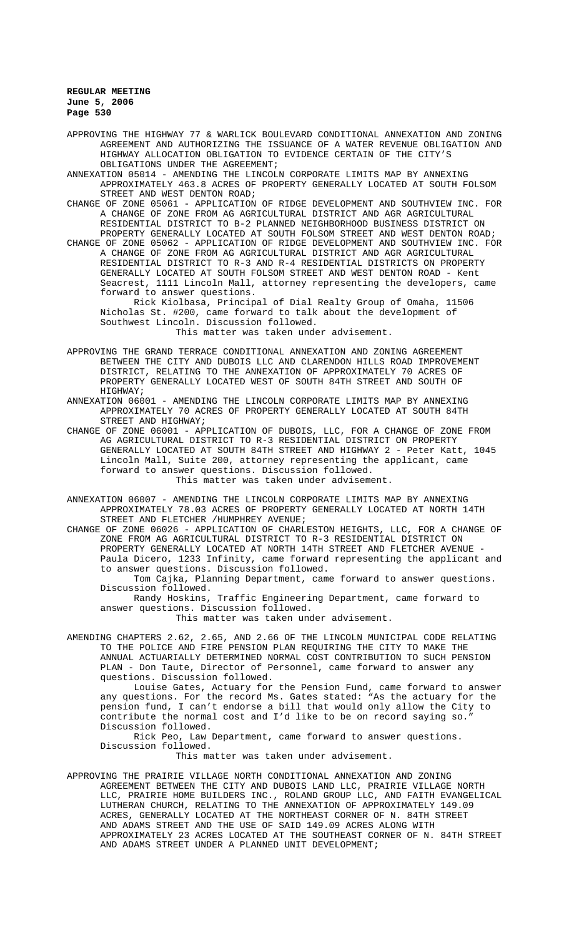APPROVING THE HIGHWAY 77 & WARLICK BOULEVARD CONDITIONAL ANNEXATION AND ZONING AGREEMENT AND AUTHORIZING THE ISSUANCE OF A WATER REVENUE OBLIGATION AND HIGHWAY ALLOCATION OBLIGATION TO EVIDENCE CERTAIN OF THE CITY'S OBLIGATIONS UNDER THE AGREEMENT;

ANNEXATION 05014 - AMENDING THE LINCOLN CORPORATE LIMITS MAP BY ANNEXING APPROXIMATELY 463.8 ACRES OF PROPERTY GENERALLY LOCATED AT SOUTH FOLSOM STREET AND WEST DENTON ROAD;

CHANGE OF ZONE 05061 - APPLICATION OF RIDGE DEVELOPMENT AND SOUTHVIEW INC. FOR A CHANGE OF ZONE FROM AG AGRICULTURAL DISTRICT AND AGR AGRICULTURAL RESIDENTIAL DISTRICT TO B-2 PLANNED NEIGHBORHOOD BUSINESS DISTRICT ON PROPERTY GENERALLY LOCATED AT SOUTH FOLSOM STREET AND WEST DENTON ROAD;

CHANGE OF ZONE 05062 - APPLICATION OF RIDGE DEVELOPMENT AND SOUTHVIEW INC. FOR A CHANGE OF ZONE FROM AG AGRICULTURAL DISTRICT AND AGR AGRICULTURAL RESIDENTIAL DISTRICT TO R-3 AND R-4 RESIDENTIAL DISTRICTS ON PROPERTY GENERALLY LOCATED AT SOUTH FOLSOM STREET AND WEST DENTON ROAD - Kent Seacrest, 1111 Lincoln Mall, attorney representing the developers, came forward to answer questions.

Rick Kiolbasa, Principal of Dial Realty Group of Omaha, 11506 Nicholas St. #200, came forward to talk about the development of Southwest Lincoln. Discussion followed. This matter was taken under advisement.

APPROVING THE GRAND TERRACE CONDITIONAL ANNEXATION AND ZONING AGREEMENT BETWEEN THE CITY AND DUBOIS LLC AND CLARENDON HILLS ROAD IMPROVEMENT DISTRICT, RELATING TO THE ANNEXATION OF APPROXIMATELY 70 ACRES OF PROPERTY GENERALLY LOCATED WEST OF SOUTH 84TH STREET AND SOUTH OF HIGHWAY;

ANNEXATION 06001 - AMENDING THE LINCOLN CORPORATE LIMITS MAP BY ANNEXING APPROXIMATELY 70 ACRES OF PROPERTY GENERALLY LOCATED AT SOUTH 84TH STREET AND HIGHWAY;

CHANGE OF ZONE 06001 - APPLICATION OF DUBOIS, LLC, FOR A CHANGE OF ZONE FROM AG AGRICULTURAL DISTRICT TO R-3 RESIDENTIAL DISTRICT ON PROPERTY GENERALLY LOCATED AT SOUTH 84TH STREET AND HIGHWAY 2 - Peter Katt, 1045 Lincoln Mall, Suite 200, attorney representing the applicant, came forward to answer questions. Discussion followed. This matter was taken under advisement.

ANNEXATION 06007 - AMENDING THE LINCOLN CORPORATE LIMITS MAP BY ANNEXING APPROXIMATELY 78.03 ACRES OF PROPERTY GENERALLY LOCATED AT NORTH 14TH STREET AND FLETCHER /HUMPHREY AVENUE;

CHANGE OF ZONE 06026 - APPLICATION OF CHARLESTON HEIGHTS, LLC, FOR A CHANGE OF ZONE FROM AG AGRICULTURAL DISTRICT TO R-3 RESIDENTIAL DISTRICT ON PROPERTY GENERALLY LOCATED AT NORTH 14TH STREET AND FLETCHER AVENUE Paula Dicero, 1233 Infinity, came forward representing the applicant and to answer questions. Discussion followed.

Tom Cajka, Planning Department, came forward to answer questions. Discussion followed.

Randy Hoskins, Traffic Engineering Department, came forward to answer questions. Discussion followed.

This matter was taken under advisement.

AMENDING CHAPTERS 2.62, 2.65, AND 2.66 OF THE LINCOLN MUNICIPAL CODE RELATING TO THE POLICE AND FIRE PENSION PLAN REQUIRING THE CITY TO MAKE THE ANNUAL ACTUARIALLY DETERMINED NORMAL COST CONTRIBUTION TO SUCH PENSION PLAN - Don Taute, Director of Personnel, came forward to answer any questions. Discussion followed.

Louise Gates, Actuary for the Pension Fund, came forward to answer any questions. For the record Ms. Gates stated: "As the actuary for the pension fund, I can't endorse a bill that would only allow the City to contribute the normal cost and I'd like to be on record saying so." Discussion followed.

Rick Peo, Law Department, came forward to answer questions. Discussion followed.

This matter was taken under advisement.

APPROVING THE PRAIRIE VILLAGE NORTH CONDITIONAL ANNEXATION AND ZONING AGREEMENT BETWEEN THE CITY AND DUBOIS LAND LLC, PRAIRIE VILLAGE NORTH LLC, PRAIRIE HOME BUILDERS INC., ROLAND GROUP LLC, AND FAITH EVANGELICAL LUTHERAN CHURCH, RELATING TO THE ANNEXATION OF APPROXIMATELY 149.09 ACRES, GENERALLY LOCATED AT THE NORTHEAST CORNER OF N. 84TH STREET AND ADAMS STREET AND THE USE OF SAID 149.09 ACRES ALONG WITH APPROXIMATELY 23 ACRES LOCATED AT THE SOUTHEAST CORNER OF N. 84TH STREET AND ADAMS STREET UNDER A PLANNED UNIT DEVELOPMENT;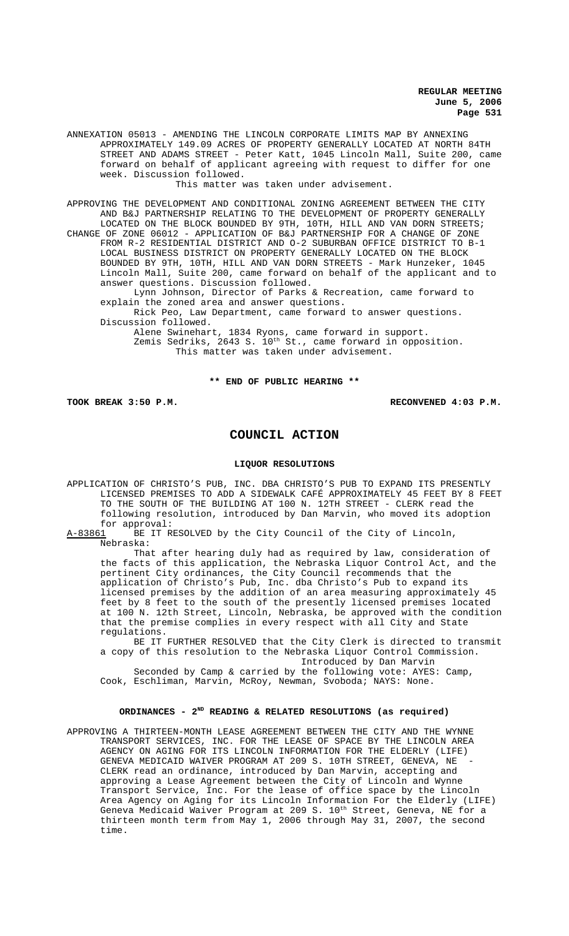ANNEXATION 05013 - AMENDING THE LINCOLN CORPORATE LIMITS MAP BY ANNEXING APPROXIMATELY 149.09 ACRES OF PROPERTY GENERALLY LOCATED AT NORTH 84TH STREET AND ADAMS STREET - Peter Katt, 1045 Lincoln Mall, Suite 200, came forward on behalf of applicant agreeing with request to differ for one week. Discussion followed.

This matter was taken under advisement.

APPROVING THE DEVELOPMENT AND CONDITIONAL ZONING AGREEMENT BETWEEN THE CITY AND B&J PARTNERSHIP RELATING TO THE DEVELOPMENT OF PROPERTY GENERALLY LOCATED ON THE BLOCK BOUNDED BY 9TH, 10TH, HILL AND VAN DORN STREETS; CHANGE OF ZONE 06012 - APPLICATION OF B&J PARTNERSHIP FOR A CHANGE OF ZONE FROM R-2 RESIDENTIAL DISTRICT AND O-2 SUBURBAN OFFICE DISTRICT TO B-1 LOCAL BUSINESS DISTRICT ON PROPERTY GENERALLY LOCATED ON THE BLOCK BOUNDED BY 9TH, 10TH, HILL AND VAN DORN STREETS - Mark Hunzeker, 1045 Lincoln Mall, Suite 200, came forward on behalf of the applicant and to answer questions. Discussion followed.

Lynn Johnson, Director of Parks & Recreation, came forward to explain the zoned area and answer questions.

Rick Peo, Law Department, came forward to answer questions. Discussion followed.

Alene Swinehart, 1834 Ryons, came forward in support. Zemis Sedriks, 2643 S.  $10^{th}$  St., came forward in opposition. This matter was taken under advisement.

#### **\*\* END OF PUBLIC HEARING \*\***

**TOOK BREAK 3:50 P.M. RECONVENED 4:03 P.M.**

# **COUNCIL ACTION**

# **LIQUOR RESOLUTIONS**

- APPLICATION OF CHRISTO'S PUB, INC. DBA CHRISTO'S PUB TO EXPAND ITS PRESENTLY LICENSED PREMISES TO ADD A SIDEWALK CAFÉ APPROXIMATELY 45 FEET BY 8 FEET TO THE SOUTH OF THE BUILDING AT 100 N. 12TH STREET - CLERK read the following resolution, introduced by Dan Marvin, who moved its adoption
- for approval:<br>A-83861 BE IT R BE IT RESOLVED by the City Council of the City of Lincoln, Nebraska:

That after hearing duly had as required by law, consideration of the facts of this application, the Nebraska Liquor Control Act, and the pertinent City ordinances, the City Council recommends that the application of Christo's Pub, Inc. dba Christo's Pub to expand its licensed premises by the addition of an area measuring approximately 45 feet by 8 feet to the south of the presently licensed premises located at 100 N. 12th Street, Lincoln, Nebraska, be approved with the condition that the premise complies in every respect with all City and State regulations.

BE IT FURTHER RESOLVED that the City Clerk is directed to transmit a copy of this resolution to the Nebraska Liquor Control Commission. Introduced by Dan Marvin

Seconded by Camp & carried by the following vote: AYES: Camp, Cook, Eschliman, Marvin, McRoy, Newman, Svoboda; NAYS: None.

# **ORDINANCES - 2ND READING & RELATED RESOLUTIONS (as required)**

APPROVING A THIRTEEN-MONTH LEASE AGREEMENT BETWEEN THE CITY AND THE WYNNE TRANSPORT SERVICES, INC. FOR THE LEASE OF SPACE BY THE LINCOLN AREA AGENCY ON AGING FOR ITS LINCOLN INFORMATION FOR THE ELDERLY (LIFE) GENEVA MEDICAID WAIVER PROGRAM AT 209 S. 10TH STREET, GENEVA, NE CLERK read an ordinance, introduced by Dan Marvin, accepting and approving a Lease Agreement between the City of Lincoln and Wynne Transport Service, Inc. For the lease of office space by the Lincoln Area Agency on Aging for its Lincoln Information For the Elderly (LIFE) Geneva Medicaid Waiver Program at 209 S.  $10^{\rm th}$  Street, Geneva, NE for a thirteen month term from May 1, 2006 through May 31, 2007, the second time.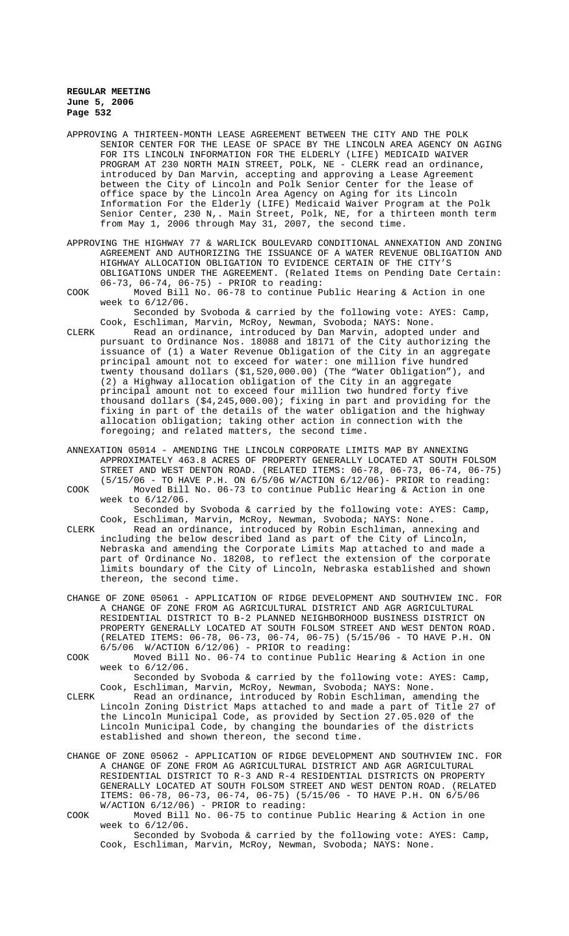- APPROVING A THIRTEEN-MONTH LEASE AGREEMENT BETWEEN THE CITY AND THE POLK SENIOR CENTER FOR THE LEASE OF SPACE BY THE LINCOLN AREA AGENCY ON AGING FOR ITS LINCOLN INFORMATION FOR THE ELDERLY (LIFE) MEDICAID WAIVER PROGRAM AT 230 NORTH MAIN STREET, POLK, NE - CLERK read an ordinance, introduced by Dan Marvin, accepting and approving a Lease Agreement between the City of Lincoln and Polk Senior Center for the lease of office space by the Lincoln Area Agency on Aging for its Lincoln Information For the Elderly (LIFE) Medicaid Waiver Program at the Polk Senior Center, 230 N,. Main Street, Polk, NE, for a thirteen month term from May 1, 2006 through May 31, 2007, the second time.
- APPROVING THE HIGHWAY 77 & WARLICK BOULEVARD CONDITIONAL ANNEXATION AND ZONING AGREEMENT AND AUTHORIZING THE ISSUANCE OF A WATER REVENUE OBLIGATION AND HIGHWAY ALLOCATION OBLIGATION TO EVIDENCE CERTAIN OF THE CITY'S OBLIGATIONS UNDER THE AGREEMENT. (Related Items on Pending Date Certain: 06-73, 06-74, 06-75) - PRIOR to reading:
- COOK Moved Bill No. 06-78 to continue Public Hearing & Action in one week to 6/12/06.

Seconded by Svoboda & carried by the following vote: AYES: Camp, Cook, Eschliman, Marvin, McRoy, Newman, Svoboda; NAYS: None.

- CLERK Read an ordinance, introduced by Dan Marvin, adopted under and pursuant to Ordinance Nos. 18088 and 18171 of the City authorizing the issuance of (1) a Water Revenue Obligation of the City in an aggregate principal amount not to exceed for water: one million five hundred twenty thousand dollars (\$1,520,000.00) (The "Water Obligation"), and (2) a Highway allocation obligation of the City in an aggregate principal amount not to exceed four million two hundred forty five thousand dollars (\$4,245,000.00); fixing in part and providing for the fixing in part of the details of the water obligation and the highway allocation obligation; taking other action in connection with the foregoing; and related matters, the second time.
- ANNEXATION 05014 AMENDING THE LINCOLN CORPORATE LIMITS MAP BY ANNEXING APPROXIMATELY 463.8 ACRES OF PROPERTY GENERALLY LOCATED AT SOUTH FOLSOM STREET AND WEST DENTON ROAD. (RELATED ITEMS: 06-78, 06-73, 06-74, 06-75) (5/15/06 - TO HAVE P.H. ON 6/5/06 W/ACTION 6/12/06)- PRIOR to reading: COOK Moved Bill No. 06-73 to continue Public Hearing & Action in one week to 6/12/06.

Seconded by Svoboda & carried by the following vote: AYES: Camp, Cook, Eschliman, Marvin, McRoy, Newman, Svoboda; NAYS: None.

- CLERK Read an ordinance, introduced by Robin Eschliman, annexing and including the below described land as part of the City of Lincoln, Nebraska and amending the Corporate Limits Map attached to and made a part of Ordinance No. 18208, to reflect the extension of the corporate limits boundary of the City of Lincoln, Nebraska established and shown thereon, the second time.
- CHANGE OF ZONE 05061 APPLICATION OF RIDGE DEVELOPMENT AND SOUTHVIEW INC. FOR A CHANGE OF ZONE FROM AG AGRICULTURAL DISTRICT AND AGR AGRICULTURAL RESIDENTIAL DISTRICT TO B-2 PLANNED NEIGHBORHOOD BUSINESS DISTRICT ON PROPERTY GENERALLY LOCATED AT SOUTH FOLSOM STREET AND WEST DENTON ROAD. (RELATED ITEMS: 06-78, 06-73, 06-74, 06-75) (5/15/06 - TO HAVE P.H. ON  $6/5/06$  W/ACTION  $6/12/06$ ) - PRIOR to reading:

COOK Moved Bill No. 06-74 to continue Public Hearing & Action in one week to 6/12/06.

Seconded by Svoboda & carried by the following vote: AYES: Camp, Cook, Eschliman, Marvin, McRoy, Newman, Svoboda; NAYS: None.

CLERK Read an ordinance, introduced by Robin Eschliman, amending the Lincoln Zoning District Maps attached to and made a part of Title 27 of the Lincoln Municipal Code, as provided by Section 27.05.020 of the Lincoln Municipal Code, by changing the boundaries of the districts established and shown thereon, the second time.

- CHANGE OF ZONE 05062 APPLICATION OF RIDGE DEVELOPMENT AND SOUTHVIEW INC. FOR A CHANGE OF ZONE FROM AG AGRICULTURAL DISTRICT AND AGR AGRICULTURAL RESIDENTIAL DISTRICT TO R-3 AND R-4 RESIDENTIAL DISTRICTS ON PROPERTY GENERALLY LOCATED AT SOUTH FOLSOM STREET AND WEST DENTON ROAD. (RELATED ITEMS: 06-78, 06-73, 06-74, 06-75) (5/15/06 - TO HAVE P.H. ON 6/5/06 W/ACTION 6/12/06) - PRIOR to reading:
- COOK Moved Bill No. 06-75 to continue Public Hearing & Action in one week to 6/12/06.

Seconded by Svoboda & carried by the following vote: AYES: Camp, Cook, Eschliman, Marvin, McRoy, Newman, Svoboda; NAYS: None.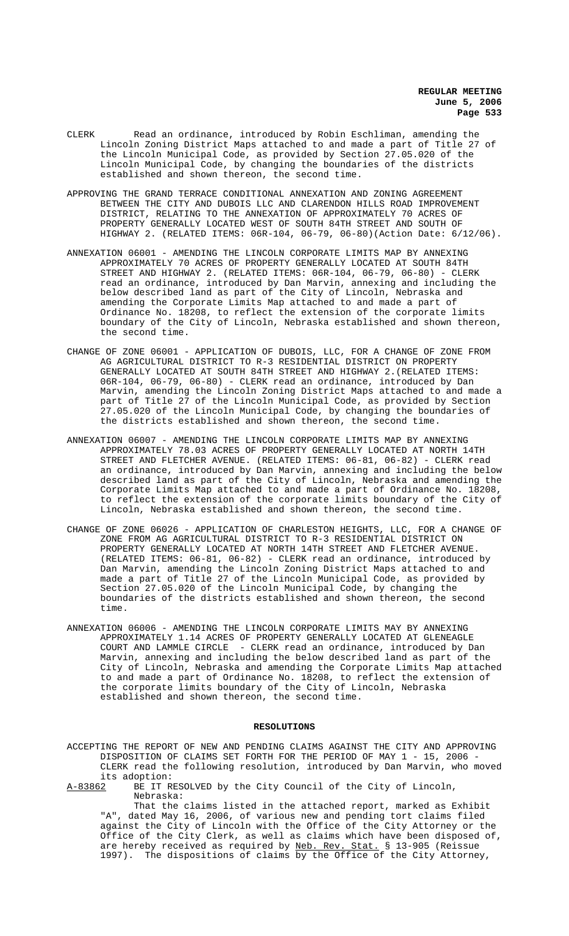- CLERK Read an ordinance, introduced by Robin Eschliman, amending the Lincoln Zoning District Maps attached to and made a part of Title 27 of the Lincoln Municipal Code, as provided by Section 27.05.020 of the Lincoln Municipal Code, by changing the boundaries of the districts established and shown thereon, the second time.
- APPROVING THE GRAND TERRACE CONDITIONAL ANNEXATION AND ZONING AGREEMENT BETWEEN THE CITY AND DUBOIS LLC AND CLARENDON HILLS ROAD IMPROVEMENT DISTRICT, RELATING TO THE ANNEXATION OF APPROXIMATELY 70 ACRES OF PROPERTY GENERALLY LOCATED WEST OF SOUTH 84TH STREET AND SOUTH OF HIGHWAY 2. (RELATED ITEMS: 06R-104, 06-79, 06-80)(Action Date: 6/12/06).
- ANNEXATION 06001 AMENDING THE LINCOLN CORPORATE LIMITS MAP BY ANNEXING APPROXIMATELY 70 ACRES OF PROPERTY GENERALLY LOCATED AT SOUTH 84TH STREET AND HIGHWAY 2. (RELATED ITEMS: 06R-104, 06-79, 06-80) - CLERK read an ordinance, introduced by Dan Marvin, annexing and including the below described land as part of the City of Lincoln, Nebraska and amending the Corporate Limits Map attached to and made a part of Ordinance No. 18208, to reflect the extension of the corporate limits boundary of the City of Lincoln, Nebraska established and shown thereon, the second time.
- CHANGE OF ZONE 06001 APPLICATION OF DUBOIS, LLC, FOR A CHANGE OF ZONE FROM AG AGRICULTURAL DISTRICT TO R-3 RESIDENTIAL DISTRICT ON PROPERTY GENERALLY LOCATED AT SOUTH 84TH STREET AND HIGHWAY 2.(RELATED ITEMS: 06R-104, 06-79, 06-80) - CLERK read an ordinance, introduced by Dan Marvin, amending the Lincoln Zoning District Maps attached to and made a part of Title 27 of the Lincoln Municipal Code, as provided by Section 27.05.020 of the Lincoln Municipal Code, by changing the boundaries of the districts established and shown thereon, the second time.
- ANNEXATION 06007 AMENDING THE LINCOLN CORPORATE LIMITS MAP BY ANNEXING APPROXIMATELY 78.03 ACRES OF PROPERTY GENERALLY LOCATED AT NORTH 14TH STREET AND FLETCHER AVENUE. (RELATED ITEMS: 06-81, 06-82) - CLERK read an ordinance, introduced by Dan Marvin, annexing and including the below described land as part of the City of Lincoln, Nebraska and amending the Corporate Limits Map attached to and made a part of Ordinance No. 18208, to reflect the extension of the corporate limits boundary of the City of Lincoln, Nebraska established and shown thereon, the second time.
- CHANGE OF ZONE 06026 APPLICATION OF CHARLESTON HEIGHTS, LLC, FOR A CHANGE OF ZONE FROM AG AGRICULTURAL DISTRICT TO R-3 RESIDENTIAL DISTRICT ON PROPERTY GENERALLY LOCATED AT NORTH 14TH STREET AND FLETCHER AVENUE. (RELATED ITEMS: 06-81, 06-82) - CLERK read an ordinance, introduced by Dan Marvin, amending the Lincoln Zoning District Maps attached to and made a part of Title 27 of the Lincoln Municipal Code, as provided by Section 27.05.020 of the Lincoln Municipal Code, by changing the boundaries of the districts established and shown thereon, the second time.
- ANNEXATION 06006 AMENDING THE LINCOLN CORPORATE LIMITS MAY BY ANNEXING APPROXIMATELY 1.14 ACRES OF PROPERTY GENERALLY LOCATED AT GLENEAGLE COURT AND LAMMLE CIRCLE - CLERK read an ordinance, introduced by Dan Marvin, annexing and including the below described land as part of the City of Lincoln, Nebraska and amending the Corporate Limits Map attached to and made a part of Ordinance No. 18208, to reflect the extension of the corporate limits boundary of the City of Lincoln, Nebraska established and shown thereon, the second time.

#### **RESOLUTIONS**

ACCEPTING THE REPORT OF NEW AND PENDING CLAIMS AGAINST THE CITY AND APPROVING DISPOSITION OF CLAIMS SET FORTH FOR THE PERIOD OF MAY 1 - 15, 2006 - CLERK read the following resolution, introduced by Dan Marvin, who moved its adoption:<br>A-83862 BE IT R

BE IT RESOLVED by the City Council of the City of Lincoln, Nebraska:

That the claims listed in the attached report, marked as Exhibit "A", dated May 16, 2006, of various new and pending tort claims filed against the City of Lincoln with the Office of the City Attorney or the Office of the City Clerk, as well as claims which have been disposed of, are hereby received as required by <u>Neb. Rev. Stat.</u> § 13-905 (Reissue 1997). The dispositions of claims by the Office of the City Attorney,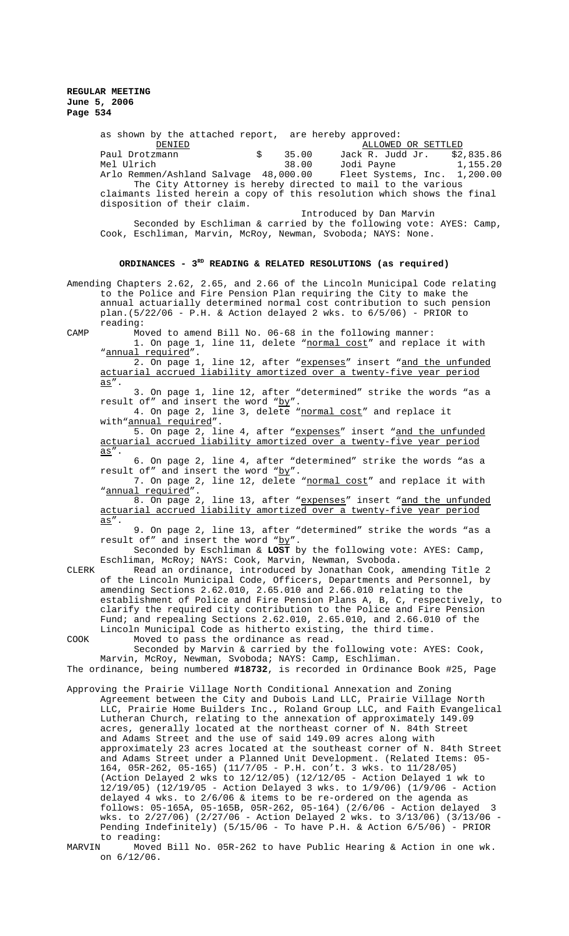> as shown by the attached report, are hereby approved: DENIED ALLOWED OR SETTLED Paul Drotzmann \$ 35.00 Jack R. Judd Jr. \$2,835.86 Jodi Payne<br>Fleet Systems, Inc. Arlo Remmen/Ashland Salvage 48,000.00 Fleet Systems, Inc. 1,200.00 The City Attorney is hereby directed to mail to the various claimants listed herein a copy of this resolution which shows the final disposition of their claim. Introduced by Dan Marvin Seconded by Eschliman & carried by the following vote: AYES: Camp, Cook, Eschliman, Marvin, McRoy, Newman, Svoboda; NAYS: None.

# ORDINANCES - 3<sup>RD</sup> READING & RELATED RESOLUTIONS (as required)

Amending Chapters 2.62, 2.65, and 2.66 of the Lincoln Municipal Code relating to the Police and Fire Pension Plan requiring the City to make the annual actuarially determined normal cost contribution to such pension plan.(5/22/06 - P.H. & Action delayed 2 wks. to 6/5/06) - PRIOR to reading:

CAMP Moved to amend Bill No. 06-68 in the following manner: 1. On page 1, line 11, delete "normal cost" and replace it with "annual required".

2. On page 1, line 12, after "expenses" insert "and the unfunded actuarial accrued liability amortized over a twenty-five year period as".

3. On page 1, line 12, after "determined" strike the words "as a result of" and insert the word "by".

4. On page 2, line 3, delete "normal cost" and replace it with"**annual** required".

5. On page 2, line 4, after "expenses" insert "and the unfunded actuarial accrued liability amortized over a twenty-five year period as".

6. On page 2, line 4, after "determined" strike the words "as a result of" and insert the word "by".

7. On page 2, line 12, delete "normal cost" and replace it with "annual required".

8. On page 2, line 13, after "expenses" insert "and the unfunded actuarial accrued liability amortized over a twenty-five year period as".

9. On page 2, line 13, after "determined" strike the words "as a result of" and insert the word "by".

Seconded by Eschliman & **LOST** by the following vote: AYES: Camp, Eschliman, McRoy; NAYS: Cook, Marvin, Newman, Svoboda.

CLERK Read an ordinance, introduced by Jonathan Cook, amending Title 2 of the Lincoln Municipal Code, Officers, Departments and Personnel, by amending Sections 2.62.010, 2.65.010 and 2.66.010 relating to the establishment of Police and Fire Pension Plans A, B, C, respectively, to clarify the required city contribution to the Police and Fire Pension Fund; and repealing Sections 2.62.010, 2.65.010, and 2.66.010 of the Lincoln Municipal Code as hitherto existing, the third time. COOK Moved to pass the ordinance as read.

Seconded by Marvin & carried by the following vote: AYES: Cook, Marvin, McRoy, Newman, Svoboda; NAYS: Camp, Eschliman.

The ordinance, being numbered **#18732**, is recorded in Ordinance Book #25, Page

- Approving the Prairie Village North Conditional Annexation and Zoning Agreement between the City and Dubois Land LLC, Prairie Village North LLC, Prairie Home Builders Inc., Roland Group LLC, and Faith Evangelical Lutheran Church, relating to the annexation of approximately 149.09 acres, generally located at the northeast corner of N. 84th Street and Adams Street and the use of said 149.09 acres along with approximately 23 acres located at the southeast corner of N. 84th Street and Adams Street under a Planned Unit Development. (Related Items: 05- 164, 05R-262, 05-165) (11/7/05 - P.H. con't. 3 wks. to 11/28/05) (Action Delayed 2 wks to 12/12/05) (12/12/05 - Action Delayed 1 wk to 12/19/05) (12/19/05 - Action Delayed 3 wks. to 1/9/06) (1/9/06 - Action delayed 4 wks. to 2/6/06 & items to be re-ordered on the agenda as follows: 05-165A, 05-165B, 05R-262, 05-164) (2/6/06 - Action delayed 3 wks. to 2/27/06) (2/27/06 - Action Delayed 2 wks. to 3/13/06) (3/13/06 - Pending Indefinitely) (5/15/06 - To have P.H. & Action 6/5/06) - PRIOR to reading:<br>MARVIN Moved
- Moved Bill No. 05R-262 to have Public Hearing & Action in one wk. on 6/12/06.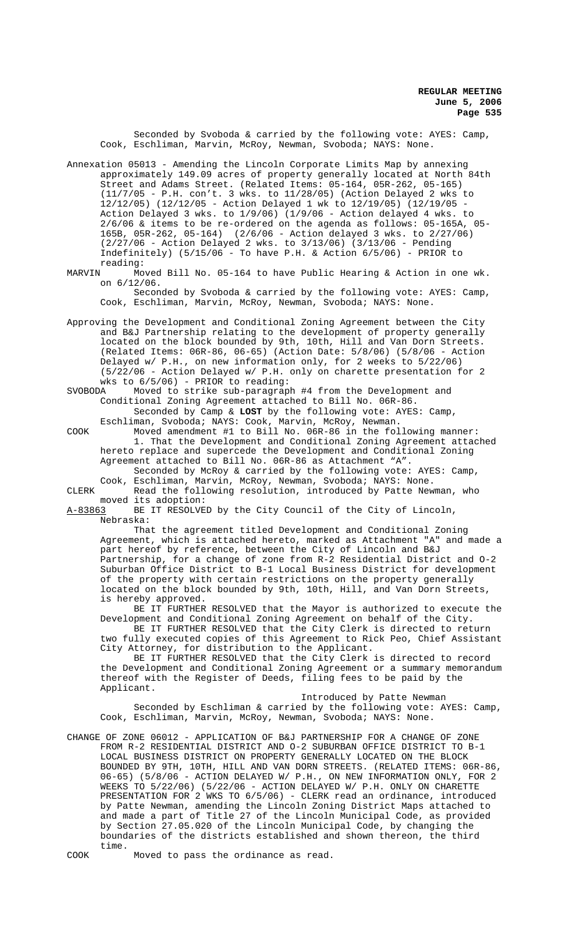Seconded by Svoboda & carried by the following vote: AYES: Camp, Cook, Eschliman, Marvin, McRoy, Newman, Svoboda; NAYS: None.

Annexation 05013 - Amending the Lincoln Corporate Limits Map by annexing approximately 149.09 acres of property generally located at North 84th Street and Adams Street. (Related Items: 05-164, 05R-262, 05-165) (11/7/05 - P.H. con't. 3 wks. to 11/28/05) (Action Delayed 2 wks to 12/12/05) (12/12/05 - Action Delayed 1 wk to 12/19/05) (12/19/05 - Action Delayed 3 wks. to 1/9/06) (1/9/06 - Action delayed 4 wks. to 2/6/06 & items to be re-ordered on the agenda as follows: 05-165A, 05- 165B, 05R-262, 05-164) (2/6/06 - Action delayed 3 wks. to 2/27/06) (2/27/06 - Action Delayed 2 wks. to 3/13/06) (3/13/06 - Pending Indefinitely)  $(5/15/06 -$  To have P.H. & Action  $6/5/06$ ) - PRIOR to

reading:<br>MARVIN Mo Moved Bill No. 05-164 to have Public Hearing & Action in one wk. on 6/12/06.

Seconded by Svoboda & carried by the following vote: AYES: Camp, Cook, Eschliman, Marvin, McRoy, Newman, Svoboda; NAYS: None.

Approving the Development and Conditional Zoning Agreement between the City and B&J Partnership relating to the development of property generally located on the block bounded by 9th, 10th, Hill and Van Dorn Streets. (Related Items: 06R-86, 06-65) (Action Date: 5/8/06) (5/8/06 - Action Delayed w/ P.H., on new information only, for 2 weeks to 5/22/06) (5/22/06 - Action Delayed w/ P.H. only on charette presentation for 2 wks to 6/5/06) - PRIOR to reading:<br>SVOBODA Moved to strike sub-paragrap

Moved to strike sub-paragraph #4 from the Development and Conditional Zoning Agreement attached to Bill No. 06R-86. Seconded by Camp & **LOST** by the following vote: AYES: Camp,

Eschliman, Svoboda; NAYS: Cook, Marvin, McRoy, Newman. COOK Moved amendment #1 to Bill No. 06R-86 in the following manner: 1. That the Development and Conditional Zoning Agreement attached hereto replace and supercede the Development and Conditional Zoning Agreement attached to Bill No. 06R-86 as Attachment "A". Seconded by McRoy & carried by the following vote: AYES: Camp,

Cook, Eschliman, Marvin, McRoy, Newman, Svoboda; NAYS: None. CLERK Read the following resolution, introduced by Patte Newman, who

moved its adoption:<br><u>A-83863</u> BE IT RESOLVE BE IT RESOLVED by the City Council of the City of Lincoln, Nebraska:

That the agreement titled Development and Conditional Zoning Agreement, which is attached hereto, marked as Attachment "A" and made a part hereof by reference, between the City of Lincoln and B&J Partnership, for a change of zone from R-2 Residential District and O-2 Suburban Office District to B-1 Local Business District for development of the property with certain restrictions on the property generally located on the block bounded by 9th, 10th, Hill, and Van Dorn Streets, is hereby approved.

BE IT FURTHER RESOLVED that the Mayor is authorized to execute the Development and Conditional Zoning Agreement on behalf of the City. BE IT FURTHER RESOLVED that the City Clerk is directed to return

two fully executed copies of this Agreement to Rick Peo, Chief Assistant City Attorney, for distribution to the Applicant.

BE IT FURTHER RESOLVED that the City Clerk is directed to record the Development and Conditional Zoning Agreement or a summary memorandum thereof with the Register of Deeds, filing fees to be paid by the Applicant.

Introduced by Patte Newman Seconded by Eschliman & carried by the following vote: AYES: Camp, Cook, Eschliman, Marvin, McRoy, Newman, Svoboda; NAYS: None.

CHANGE OF ZONE 06012 - APPLICATION OF B&J PARTNERSHIP FOR A CHANGE OF ZONE FROM R-2 RESIDENTIAL DISTRICT AND O-2 SUBURBAN OFFICE DISTRICT TO B-1 LOCAL BUSINESS DISTRICT ON PROPERTY GENERALLY LOCATED ON THE BLOCK BOUNDED BY 9TH, 10TH, HILL AND VAN DORN STREETS. (RELATED ITEMS: 06R-86, 06-65) (5/8/06 - ACTION DELAYED W/ P.H., ON NEW INFORMATION ONLY, FOR 2 WEEKS TO 5/22/06) (5/22/06 - ACTION DELAYED W/ P.H. ONLY ON CHARETTE PRESENTATION FOR 2 WKS TO 6/5/06) - CLERK read an ordinance, introduced by Patte Newman, amending the Lincoln Zoning District Maps attached to and made a part of Title 27 of the Lincoln Municipal Code, as provided by Section 27.05.020 of the Lincoln Municipal Code, by changing the boundaries of the districts established and shown thereon, the third time.

COOK Moved to pass the ordinance as read.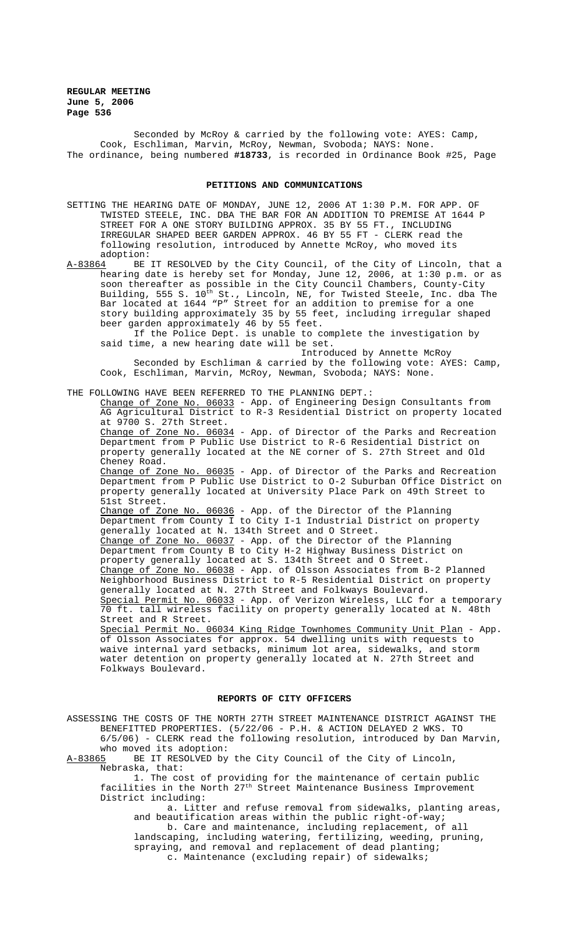Seconded by McRoy & carried by the following vote: AYES: Camp, Cook, Eschliman, Marvin, McRoy, Newman, Svoboda; NAYS: None. The ordinance, being numbered **#18733**, is recorded in Ordinance Book #25, Page

#### **PETITIONS AND COMMUNICATIONS**

SETTING THE HEARING DATE OF MONDAY, JUNE 12, 2006 AT 1:30 P.M. FOR APP. OF TWISTED STEELE, INC. DBA THE BAR FOR AN ADDITION TO PREMISE AT 1644 P STREET FOR A ONE STORY BUILDING APPROX. 35 BY 55 FT., INCLUDING IRREGULAR SHAPED BEER GARDEN APPROX. 46 BY 55 FT - CLERK read the following resolution, introduced by Annette McRoy, who moved its

adoption:<br>A-83864 BE A-83864 BE IT RESOLVED by the City Council, of the City of Lincoln, that a hearing date is hereby set for Monday, June 12, 2006, at 1:30 p.m. or as soon thereafter as possible in the City Council Chambers, County-City Building, 555 S.  $10^{\text{th}}$  St., Lincoln, NE, for Twisted Steele, Inc. dba The Bar located at 1644 "P" Street for an addition to premise for a one story building approximately 35 by 55 feet, including irregular shaped beer garden approximately 46 by 55 feet.

If the Police Dept. is unable to complete the investigation by said time, a new hearing date will be set.

Introduced by Annette McRoy Seconded by Eschliman & carried by the following vote: AYES: Camp, Cook, Eschliman, Marvin, McRoy, Newman, Svoboda; NAYS: None.

# THE FOLLOWING HAVE BEEN REFERRED TO THE PLANNING DEPT.:

Change of Zone No. 06033 - App. of Engineering Design Consultants from AG Agricultural District to R-3 Residential District on property located at 9700 S. 27th Street.

Change of Zone No. 06034 - App. of Director of the Parks and Recreation Department from P Public Use District to R-6 Residential District on property generally located at the NE corner of S. 27th Street and Old Cheney Road.

Change of Zone No. 06035 - App. of Director of the Parks and Recreation Department from P Public Use District to O-2 Suburban Office District on property generally located at University Place Park on 49th Street to 51st Street.

Change of Zone No. 06036 - App. of the Director of the Planning Department from County I to City I-1 Industrial District on property generally located at N. 134th Street and O Street. Change of Zone No. 06037 - App. of the Director of the Planning Department from County B to City H-2 Highway Business District on property generally located at S. 134th Street and O Street. Change of Zone No. 06038 - App. of Olsson Associates from B-2 Planned Neighborhood Business District to R-5 Residential District on property generally located at N. 27th Street and Folkways Boulevard. Special Permit No. 06033 - App. of Verizon Wireless, LLC for a temporary 70 ft. tall wireless facility on property generally located at N. 48th Street and R Street.

Special Permit No. 06034 King Ridge Townhomes Community Unit Plan - App. of Olsson Associates for approx. 54 dwelling units with requests to waive internal yard setbacks, minimum lot area, sidewalks, and storm water detention on property generally located at N. 27th Street and Folkways Boulevard.

## **REPORTS OF CITY OFFICERS**

ASSESSING THE COSTS OF THE NORTH 27TH STREET MAINTENANCE DISTRICT AGAINST THE BENEFITTED PROPERTIES. (5/22/06 - P.H. & ACTION DELAYED 2 WKS. TO 6/5/06) - CLERK read the following resolution, introduced by Dan Marvin, who moved its adoption:<br>A-83865 BE IT RESOLVED by BE IT RESOLVED by the City Council of the City of Lincoln, Nebraska, that:

1. The cost of providing for the maintenance of certain public facilities in the North 27th Street Maintenance Business Improvement District including:

a. Litter and refuse removal from sidewalks, planting areas, and beautification areas within the public right-of-way;

b. Care and maintenance, including replacement, of all landscaping, including watering, fertilizing, weeding, pruning, spraying, and removal and replacement of dead planting;

c. Maintenance (excluding repair) of sidewalks;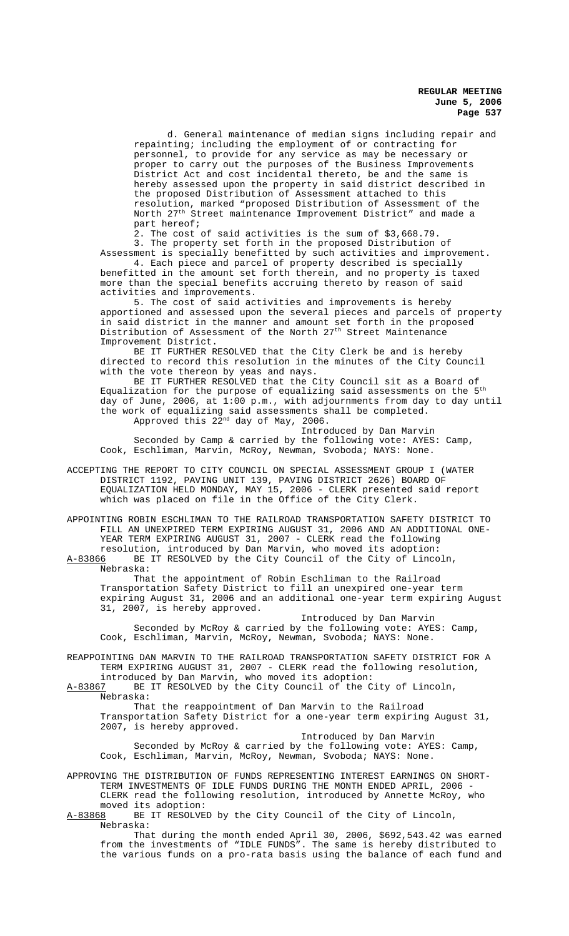d. General maintenance of median signs including repair and repainting; including the employment of or contracting for personnel, to provide for any service as may be necessary or proper to carry out the purposes of the Business Improvements District Act and cost incidental thereto, be and the same is hereby assessed upon the property in said district described in the proposed Distribution of Assessment attached to this resolution, marked "proposed Distribution of Assessment of the North 27<sup>th</sup> Street maintenance Improvement District" and made a part hereof;

2. The cost of said activities is the sum of \$3,668.79.

3. The property set forth in the proposed Distribution of Assessment is specially benefitted by such activities and improvement. 4. Each piece and parcel of property described is specially

benefitted in the amount set forth therein, and no property is taxed more than the special benefits accruing thereto by reason of said activities and improvements.

5. The cost of said activities and improvements is hereby apportioned and assessed upon the several pieces and parcels of property in said district in the manner and amount set forth in the proposed Distribution of Assessment of the North 27<sup>th</sup> Street Maintenance Improvement District.

BE IT FURTHER RESOLVED that the City Clerk be and is hereby directed to record this resolution in the minutes of the City Council with the vote thereon by yeas and nays.

BE IT FURTHER RESOLVED that the City Council sit as a Board of Equalization for the purpose of equalizing said assessments on the  $5<sup>th</sup>$ day of June, 2006, at 1:00 p.m., with adjournments from day to day until the work of equalizing said assessments shall be completed. Approved this  $22^{nd}$  day of May, 2006.

Introduced by Dan Marvin Seconded by Camp & carried by the following vote: AYES: Camp, Cook, Eschliman, Marvin, McRoy, Newman, Svoboda; NAYS: None.

ACCEPTING THE REPORT TO CITY COUNCIL ON SPECIAL ASSESSMENT GROUP I (WATER DISTRICT 1192, PAVING UNIT 139, PAVING DISTRICT 2626) BOARD OF EQUALIZATION HELD MONDAY, MAY 15, 2006 - CLERK presented said report which was placed on file in the Office of the City Clerk.

APPOINTING ROBIN ESCHLIMAN TO THE RAILROAD TRANSPORTATION SAFETY DISTRICT TO FILL AN UNEXPIRED TERM EXPIRING AUGUST 31, 2006 AND AN ADDITIONAL ONE-YEAR TERM EXPIRING AUGUST 31, 2007 - CLERK read the following resolution, introduced by Dan Marvin, who moved its adoption:

A-83866 BE IT RESOLVED by the City Council of the City of Lincoln, Nebraska:

That the appointment of Robin Eschliman to the Railroad Transportation Safety District to fill an unexpired one-year term expiring August 31, 2006 and an additional one-year term expiring August 31, 2007, is hereby approved.

Introduced by Dan Marvin Seconded by McRoy & carried by the following vote: AYES: Camp, Cook, Eschliman, Marvin, McRoy, Newman, Svoboda; NAYS: None.

REAPPOINTING DAN MARVIN TO THE RAILROAD TRANSPORTATION SAFETY DISTRICT FOR A TERM EXPIRING AUGUST 31, 2007 - CLERK read the following resolution,

introduced by Dan Marvin, who moved its adoption:<br>A-83867 BE IT RESOLVED by the City Council of the C BE IT RESOLVED by the City Council of the City of Lincoln, Nebraska:

That the reappointment of Dan Marvin to the Railroad Transportation Safety District for a one-year term expiring August 31, 2007, is hereby approved.

Introduced by Dan Marvin Seconded by McRoy & carried by the following vote: AYES: Camp, Cook, Eschliman, Marvin, McRoy, Newman, Svoboda; NAYS: None.

APPROVING THE DISTRIBUTION OF FUNDS REPRESENTING INTEREST EARNINGS ON SHORT-TERM INVESTMENTS OF IDLE FUNDS DURING THE MONTH ENDED APRIL, 2006 CLERK read the following resolution, introduced by Annette McRoy, who

moved its adoption:<br><u>A-83868</u> BE IT RESOLVE BE IT RESOLVED by the City Council of the City of Lincoln, Nebraska:

That during the month ended April 30, 2006, \$692,543.42 was earned from the investments of "IDLE FUNDS". The same is hereby distributed to the various funds on a pro-rata basis using the balance of each fund and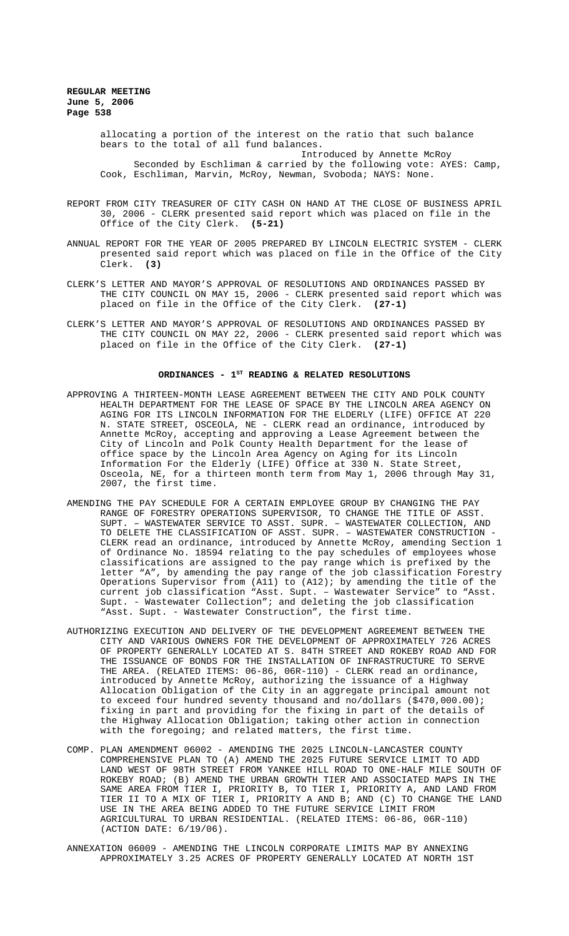allocating a portion of the interest on the ratio that such balance bears to the total of all fund balances. Introduced by Annette McRoy

Seconded by Eschliman & carried by the following vote: AYES: Camp, Cook, Eschliman, Marvin, McRoy, Newman, Svoboda; NAYS: None.

- REPORT FROM CITY TREASURER OF CITY CASH ON HAND AT THE CLOSE OF BUSINESS APRIL 30, 2006 - CLERK presented said report which was placed on file in the Office of the City Clerk. **(5-21)**
- ANNUAL REPORT FOR THE YEAR OF 2005 PREPARED BY LINCOLN ELECTRIC SYSTEM CLERK presented said report which was placed on file in the Office of the City Clerk. **(3)**
- CLERK'S LETTER AND MAYOR'S APPROVAL OF RESOLUTIONS AND ORDINANCES PASSED BY THE CITY COUNCIL ON MAY 15, 2006 - CLERK presented said report which was placed on file in the Office of the City Clerk. **(27-1)**
- CLERK'S LETTER AND MAYOR'S APPROVAL OF RESOLUTIONS AND ORDINANCES PASSED BY THE CITY COUNCIL ON MAY 22, 2006 - CLERK presented said report which was placed on file in the Office of the City Clerk. **(27-1)**

#### ORDINANCES - 1<sup>st</sup> READING & RELATED RESOLUTIONS

- APPROVING A THIRTEEN-MONTH LEASE AGREEMENT BETWEEN THE CITY AND POLK COUNTY HEALTH DEPARTMENT FOR THE LEASE OF SPACE BY THE LINCOLN AREA AGENCY ON AGING FOR ITS LINCOLN INFORMATION FOR THE ELDERLY (LIFE) OFFICE AT 220 N. STATE STREET, OSCEOLA, NE - CLERK read an ordinance, introduced by Annette McRoy, accepting and approving a Lease Agreement between the City of Lincoln and Polk County Health Department for the lease of office space by the Lincoln Area Agency on Aging for its Lincoln Information For the Elderly (LIFE) Office at 330 N. State Street, Osceola, NE, for a thirteen month term from May 1, 2006 through May 31, 2007, the first time.
- AMENDING THE PAY SCHEDULE FOR A CERTAIN EMPLOYEE GROUP BY CHANGING THE PAY RANGE OF FORESTRY OPERATIONS SUPERVISOR, TO CHANGE THE TITLE OF ASST. SUPT. – WASTEWATER SERVICE TO ASST. SUPR. – WASTEWATER COLLECTION, AND TO DELETE THE CLASSIFICATION OF ASST. SUPR. - WASTEWATER CONSTRUCTION CLERK read an ordinance, introduced by Annette McRoy, amending Section 1 of Ordinance No. 18594 relating to the pay schedules of employees whose classifications are assigned to the pay range which is prefixed by the letter "A", by amending the pay range of the job classification Forestry Operations Supervisor from (A11) to (A12); by amending the title of the current job classification "Asst. Supt. – Wastewater Service" to "Asst. Supt. - Wastewater Collection"; and deleting the job classification "Asst. Supt. - Wastewater Construction", the first time.
- AUTHORIZING EXECUTION AND DELIVERY OF THE DEVELOPMENT AGREEMENT BETWEEN THE CITY AND VARIOUS OWNERS FOR THE DEVELOPMENT OF APPROXIMATELY 726 ACRES OF PROPERTY GENERALLY LOCATED AT S. 84TH STREET AND ROKEBY ROAD AND FOR THE ISSUANCE OF BONDS FOR THE INSTALLATION OF INFRASTRUCTURE TO SERVE THE AREA. (RELATED ITEMS: 06-86, 06R-110) - CLERK read an ordinance, introduced by Annette McRoy, authorizing the issuance of a Highway Allocation Obligation of the City in an aggregate principal amount not to exceed four hundred seventy thousand and no/dollars (\$470,000.00); fixing in part and providing for the fixing in part of the details of the Highway Allocation Obligation; taking other action in connection with the foregoing; and related matters, the first time.
- COMP. PLAN AMENDMENT 06002 AMENDING THE 2025 LINCOLN-LANCASTER COUNTY COMPREHENSIVE PLAN TO (A) AMEND THE 2025 FUTURE SERVICE LIMIT TO ADD LAND WEST OF 98TH STREET FROM YANKEE HILL ROAD TO ONE-HALF MILE SOUTH OF ROKEBY ROAD; (B) AMEND THE URBAN GROWTH TIER AND ASSOCIATED MAPS IN THE SAME AREA FROM TIER I, PRIORITY B, TO TIER I, PRIORITY A, AND LAND FROM TIER II TO A MIX OF TIER I, PRIORITY A AND B; AND (C) TO CHANGE THE LAND USE IN THE AREA BEING ADDED TO THE FUTURE SERVICE LIMIT FROM AGRICULTURAL TO URBAN RESIDENTIAL. (RELATED ITEMS: 06-86, 06R-110) (ACTION DATE: 6/19/06).
- ANNEXATION 06009 AMENDING THE LINCOLN CORPORATE LIMITS MAP BY ANNEXING APPROXIMATELY 3.25 ACRES OF PROPERTY GENERALLY LOCATED AT NORTH 1ST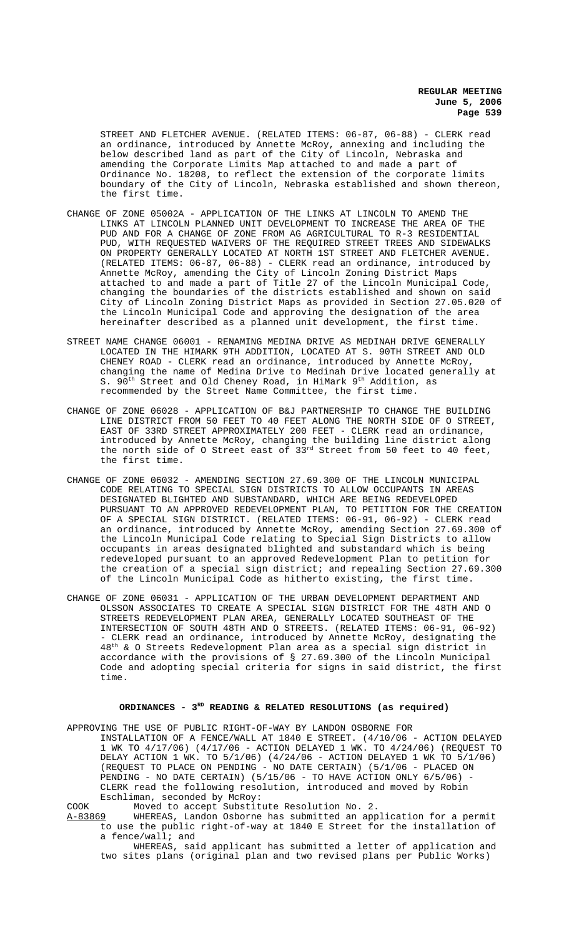STREET AND FLETCHER AVENUE. (RELATED ITEMS: 06-87, 06-88) - CLERK read an ordinance, introduced by Annette McRoy, annexing and including the below described land as part of the City of Lincoln, Nebraska and amending the Corporate Limits Map attached to and made a part of Ordinance No. 18208, to reflect the extension of the corporate limits boundary of the City of Lincoln, Nebraska established and shown thereon, the first time.

- CHANGE OF ZONE 05002A APPLICATION OF THE LINKS AT LINCOLN TO AMEND THE LINKS AT LINCOLN PLANNED UNIT DEVELOPMENT TO INCREASE THE AREA OF THE PUD AND FOR A CHANGE OF ZONE FROM AG AGRICULTURAL TO R-3 RESIDENTIAL PUD, WITH REQUESTED WAIVERS OF THE REQUIRED STREET TREES AND SIDEWALKS ON PROPERTY GENERALLY LOCATED AT NORTH 1ST STREET AND FLETCHER AVENUE. (RELATED ITEMS: 06-87, 06-88) - CLERK read an ordinance, introduced by Annette McRoy, amending the City of Lincoln Zoning District Maps attached to and made a part of Title 27 of the Lincoln Municipal Code, changing the boundaries of the districts established and shown on said City of Lincoln Zoning District Maps as provided in Section 27.05.020 of the Lincoln Municipal Code and approving the designation of the area hereinafter described as a planned unit development, the first time.
- STREET NAME CHANGE 06001 RENAMING MEDINA DRIVE AS MEDINAH DRIVE GENERALLY LOCATED IN THE HIMARK 9TH ADDITION, LOCATED AT S. 90TH STREET AND OLD CHENEY ROAD - CLERK read an ordinance, introduced by Annette McRoy, changing the name of Medina Drive to Medinah Drive located generally at S. 90<sup>th</sup> Street and Old Cheney Road, in HiMark 9<sup>th</sup> Addition, as recommended by the Street Name Committee, the first time.
- CHANGE OF ZONE 06028 APPLICATION OF B&J PARTNERSHIP TO CHANGE THE BUILDING LINE DISTRICT FROM 50 FEET TO 40 FEET ALONG THE NORTH SIDE OF O STREET, EAST OF 33RD STREET APPROXIMATELY 200 FEET - CLERK read an ordinance, introduced by Annette McRoy, changing the building line district along the north side of O Street east of 33rd Street from 50 feet to 40 feet, the first time.
- CHANGE OF ZONE 06032 AMENDING SECTION 27.69.300 OF THE LINCOLN MUNICIPAL CODE RELATING TO SPECIAL SIGN DISTRICTS TO ALLOW OCCUPANTS IN AREAS DESIGNATED BLIGHTED AND SUBSTANDARD, WHICH ARE BEING REDEVELOPED PURSUANT TO AN APPROVED REDEVELOPMENT PLAN, TO PETITION FOR THE CREATION OF A SPECIAL SIGN DISTRICT. (RELATED ITEMS: 06-91, 06-92) - CLERK read an ordinance, introduced by Annette McRoy, amending Section 27.69.300 of the Lincoln Municipal Code relating to Special Sign Districts to allow occupants in areas designated blighted and substandard which is being redeveloped pursuant to an approved Redevelopment Plan to petition for the creation of a special sign district; and repealing Section 27.69.300 of the Lincoln Municipal Code as hitherto existing, the first time.
- CHANGE OF ZONE 06031 APPLICATION OF THE URBAN DEVELOPMENT DEPARTMENT AND OLSSON ASSOCIATES TO CREATE A SPECIAL SIGN DISTRICT FOR THE 48TH AND O STREETS REDEVELOPMENT PLAN AREA, GENERALLY LOCATED SOUTHEAST OF THE INTERSECTION OF SOUTH 48TH AND O STREETS. (RELATED ITEMS: 06-91, 06-92) - CLERK read an ordinance, introduced by Annette McRoy, designating the 48th & O Streets Redevelopment Plan area as a special sign district in accordance with the provisions of § 27.69.300 of the Lincoln Municipal Code and adopting special criteria for signs in said district, the first time.

#### **ORDINANCES - 3RD READING & RELATED RESOLUTIONS (as required)**

APPROVING THE USE OF PUBLIC RIGHT-OF-WAY BY LANDON OSBORNE FOR INSTALLATION OF A FENCE/WALL AT 1840 E STREET. (4/10/06 - ACTION DELAYED 1 WK TO 4/17/06) (4/17/06 - ACTION DELAYED 1 WK. TO 4/24/06) (REQUEST TO DELAY ACTION 1 WK. TO 5/1/06) (4/24/06 - ACTION DELAYED 1 WK TO 5/1/06) (REQUEST TO PLACE ON PENDING - NO DATE CERTAIN) (5/1/06 - PLACED ON PENDING - NO DATE CERTAIN) (5/15/06 - TO HAVE ACTION ONLY 6/5/06) -CLERK read the following resolution, introduced and moved by Robin Eschliman, seconded by McRoy:

COOK Moved to accept Substitute Resolution No. 2.

A-83869 WHEREAS, Landon Osborne has submitted an application for a permit to use the public right-of-way at 1840 E Street for the installation of a fence/wall; and

WHEREAS, said applicant has submitted a letter of application and two sites plans (original plan and two revised plans per Public Works)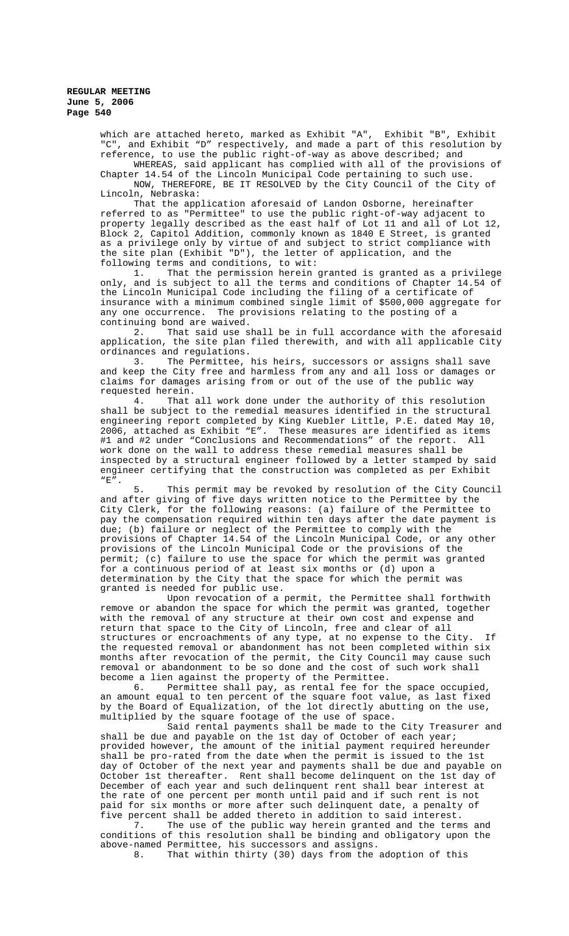which are attached hereto, marked as Exhibit "A", Exhibit "B", Exhibit "C", and Exhibit "D" respectively, and made a part of this resolution by reference, to use the public right-of-way as above described; and

WHEREAS, said applicant has complied with all of the provisions of Chapter 14.54 of the Lincoln Municipal Code pertaining to such use. NOW, THEREFORE, BE IT RESOLVED by the City Council of the City of Lincoln, Nebraska:

That the application aforesaid of Landon Osborne, hereinafter referred to as "Permittee" to use the public right-of-way adjacent to property legally described as the east half of Lot 11 and all of Lot 12, Block 2, Capitol Addition, commonly known as 1840 E Street, is granted as a privilege only by virtue of and subject to strict compliance with the site plan (Exhibit "D"), the letter of application, and the following terms and conditions, to wit:<br>1. That the permission herein

That the permission herein granted is granted as a privilege only, and is subject to all the terms and conditions of Chapter 14.54 of the Lincoln Municipal Code including the filing of a certificate of insurance with a minimum combined single limit of \$500,000 aggregate for any one occurrence. The provisions relating to the posting of a continuing bond are waived.

2. That said use shall be in full accordance with the aforesaid application, the site plan filed therewith, and with all applicable City ordinances and regulations.

3. The Permittee, his heirs, successors or assigns shall save and keep the City free and harmless from any and all loss or damages or claims for damages arising from or out of the use of the public way

requested herein.<br>4. That That all work done under the authority of this resolution shall be subject to the remedial measures identified in the structural engineering report completed by King Kuebler Little, P.E. dated May 10, 2006, attached as Exhibit "E". These measures are identified as items #1 and #2 under "Conclusions and Recommendations" of the report. All work done on the wall to address these remedial measures shall be inspected by a structural engineer followed by a letter stamped by said engineer certifying that the construction was completed as per Exhibit "E".

This permit may be revoked by resolution of the City Council and after giving of five days written notice to the Permittee by the City Clerk, for the following reasons: (a) failure of the Permittee to pay the compensation required within ten days after the date payment is due; (b) failure or neglect of the Permittee to comply with the provisions of Chapter 14.54 of the Lincoln Municipal Code, or any other provisions of the Lincoln Municipal Code or the provisions of the permit; (c) failure to use the space for which the permit was granted for a continuous period of at least six months or (d) upon a determination by the City that the space for which the permit was granted is needed for public use.

Upon revocation of a permit, the Permittee shall forthwith remove or abandon the space for which the permit was granted, together with the removal of any structure at their own cost and expense and return that space to the City of Lincoln, free and clear of all structures or encroachments of any type, at no expense to the City. If the requested removal or abandonment has not been completed within six months after revocation of the permit, the City Council may cause such removal or abandonment to be so done and the cost of such work shall become a lien against the property of the Permittee.

6. Permittee shall pay, as rental fee for the space occupied, an amount equal to ten percent of the square foot value, as last fixed by the Board of Equalization, of the lot directly abutting on the use, multiplied by the square footage of the use of space.

Said rental payments shall be made to the City Treasurer and shall be due and payable on the 1st day of October of each year; provided however, the amount of the initial payment required hereunder shall be pro-rated from the date when the permit is issued to the 1st day of October of the next year and payments shall be due and payable on October 1st thereafter. Rent shall become delinquent on the 1st day of December of each year and such delinquent rent shall bear interest at the rate of one percent per month until paid and if such rent is not paid for six months or more after such delinquent date, a penalty of five percent shall be added thereto in addition to said interest.

7. The use of the public way herein granted and the terms and conditions of this resolution shall be binding and obligatory upon the above-named Permittee, his successors and assigns.

That within thirty (30) days from the adoption of this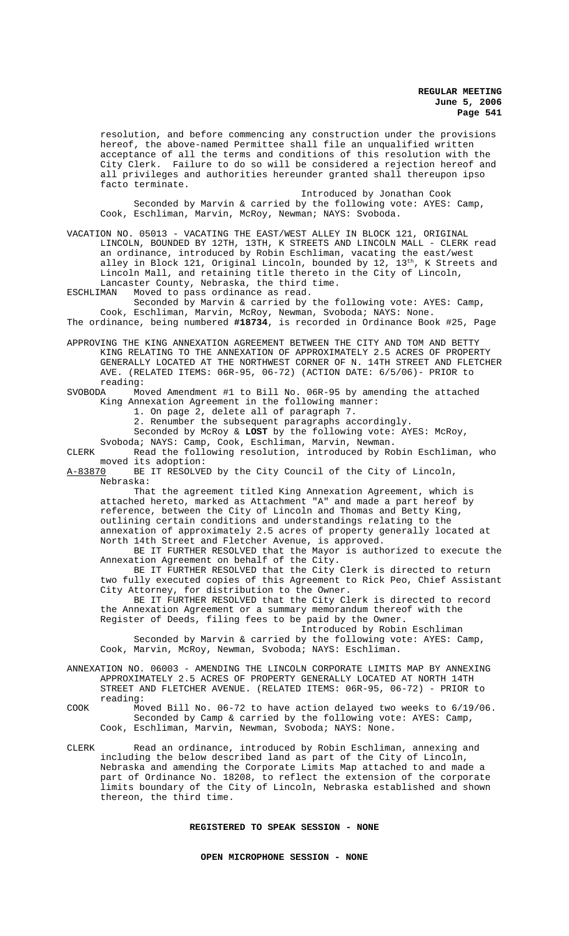resolution, and before commencing any construction under the provisions hereof, the above-named Permittee shall file an unqualified written acceptance of all the terms and conditions of this resolution with the City Clerk. Failure to do so will be considered a rejection hereof and all privileges and authorities hereunder granted shall thereupon ipso facto terminate.

Introduced by Jonathan Cook Seconded by Marvin & carried by the following vote: AYES: Camp, Cook, Eschliman, Marvin, McRoy, Newman; NAYS: Svoboda.

VACATION NO. 05013 - VACATING THE EAST/WEST ALLEY IN BLOCK 121, ORIGINAL LINCOLN, BOUNDED BY 12TH, 13TH, K STREETS AND LINCOLN MALL - CLERK read an ordinance, introduced by Robin Eschliman, vacating the east/west alley in Block 121, Original Lincoln, bounded by 12, 13<sup>th</sup>, K Streets and Lincoln Mall, and retaining title thereto in the City of Lincoln, Lancaster County, Nebraska, the third time.

ESCHLIMAN Moved to pass ordinance as read.

Seconded by Marvin & carried by the following vote: AYES: Camp, Cook, Eschliman, Marvin, McRoy, Newman, Svoboda; NAYS: None. The ordinance, being numbered **#18734**, is recorded in Ordinance Book #25, Page

APPROVING THE KING ANNEXATION AGREEMENT BETWEEN THE CITY AND TOM AND BETTY KING RELATING TO THE ANNEXATION OF APPROXIMATELY 2.5 ACRES OF PROPERTY GENERALLY LOCATED AT THE NORTHWEST CORNER OF N. 14TH STREET AND FLETCHER AVE. (RELATED ITEMS: 06R-95, 06-72) (ACTION DATE: 6/5/06)- PRIOR to reading:<br>SVOBODA Mo

Moved Amendment #1 to Bill No. 06R-95 by amending the attached King Annexation Agreement in the following manner:

1. On page 2, delete all of paragraph 7.

2. Renumber the subsequent paragraphs accordingly.

Seconded by McRoy & **LOST** by the following vote: AYES: McRoy, Svoboda; NAYS: Camp, Cook, Eschliman, Marvin, Newman.

CLERK Read the following resolution, introduced by Robin Eschliman, who moved its adoption:<br><u>A-83870</u> BE IT RESOLVE

BE IT RESOLVED by the City Council of the City of Lincoln, Nebraska:

That the agreement titled King Annexation Agreement, which is attached hereto, marked as Attachment "A" and made a part hereof by reference, between the City of Lincoln and Thomas and Betty King, outlining certain conditions and understandings relating to the annexation of approximately 2.5 acres of property generally located at North 14th Street and Fletcher Avenue, is approved.

BE IT FURTHER RESOLVED that the Mayor is authorized to execute the Annexation Agreement on behalf of the City.

BE IT FURTHER RESOLVED that the City Clerk is directed to return two fully executed copies of this Agreement to Rick Peo, Chief Assistant City Attorney, for distribution to the Owner.

BE IT FURTHER RESOLVED that the City Clerk is directed to record the Annexation Agreement or a summary memorandum thereof with the Register of Deeds, filing fees to be paid by the Owner.

Introduced by Robin Eschliman

Seconded by Marvin & carried by the following vote: AYES: Camp, Cook, Marvin, McRoy, Newman, Svoboda; NAYS: Eschliman.

ANNEXATION NO. 06003 - AMENDING THE LINCOLN CORPORATE LIMITS MAP BY ANNEXING APPROXIMATELY 2.5 ACRES OF PROPERTY GENERALLY LOCATED AT NORTH 14TH STREET AND FLETCHER AVENUE. (RELATED ITEMS: 06R-95, 06-72) - PRIOR to reading:

COOK Moved Bill No. 06-72 to have action delayed two weeks to 6/19/06. Seconded by Camp & carried by the following vote: AYES: Camp, Cook, Eschliman, Marvin, Newman, Svoboda; NAYS: None.

CLERK Read an ordinance, introduced by Robin Eschliman, annexing and including the below described land as part of the City of Lincoln, Nebraska and amending the Corporate Limits Map attached to and made a part of Ordinance No. 18208, to reflect the extension of the corporate limits boundary of the City of Lincoln, Nebraska established and shown thereon, the third time.

**REGISTERED TO SPEAK SESSION - NONE**

**OPEN MICROPHONE SESSION - NONE**